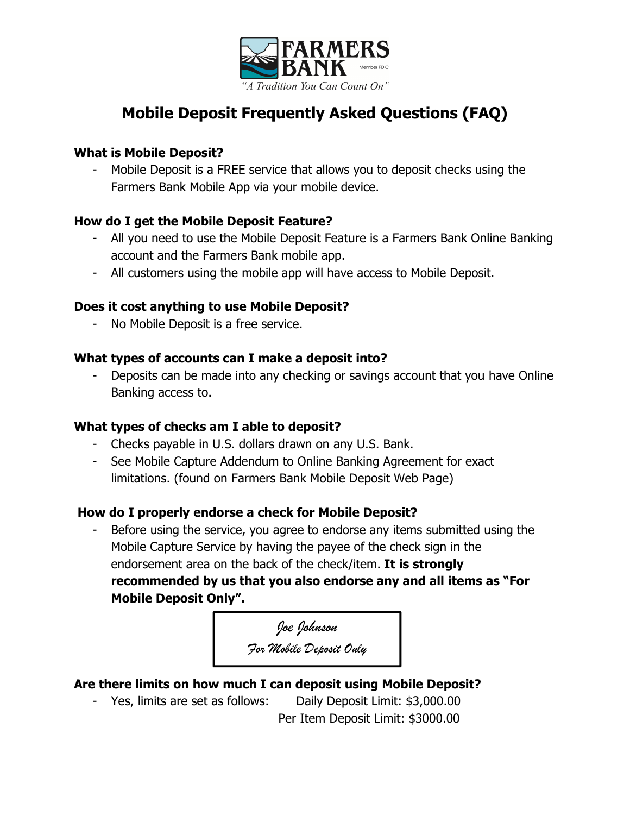

# **Mobile Deposit Frequently Asked Questions (FAQ)**

## **What is Mobile Deposit?**

- Mobile Deposit is a FREE service that allows you to deposit checks using the Farmers Bank Mobile App via your mobile device.

# **How do I get the Mobile Deposit Feature?**

- All you need to use the Mobile Deposit Feature is a Farmers Bank Online Banking account and the Farmers Bank mobile app.
- All customers using the mobile app will have access to Mobile Deposit.

## **Does it cost anything to use Mobile Deposit?**

- No Mobile Deposit is a free service.

## **What types of accounts can I make a deposit into?**

- Deposits can be made into any checking or savings account that you have Online Banking access to.

# **What types of checks am I able to deposit?**

- Checks payable in U.S. dollars drawn on any U.S. Bank.
- See Mobile Capture Addendum to Online Banking Agreement for exact limitations. (found on Farmers Bank Mobile Deposit Web Page)

# **How do I properly endorse a check for Mobile Deposit?**

Before using the service, you agree to endorse any items submitted using the Mobile Capture Service by having the payee of the check sign in the endorsement area on the back of the check/item. **It is strongly recommended by us that you also endorse any and all items as "For Mobile Deposit Only".**

*Joe Johnson* 

*For Mobile Deposit Only* 

# **Are there limits on how much I can deposit using Mobile Deposit?**

- Yes, limits are set as follows: Daily Deposit Limit: \$3,000.00 Per Item Deposit Limit: \$3000.00